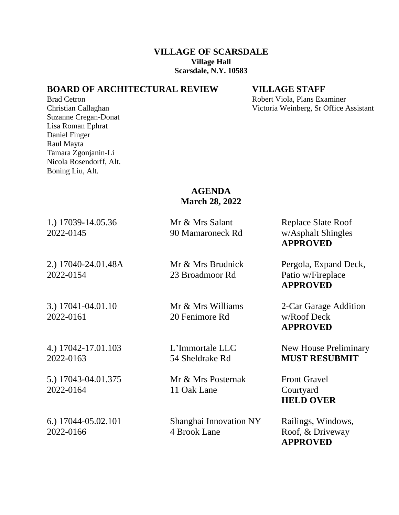### **VILLAGE OF SCARSDALE Village Hall Scarsdale, N.Y. 10583**

## **BOARD OF ARCHITECTURAL REVIEW VILLAGE STAFF**

Suzanne Cregan-Donat Lisa Roman Ephrat Daniel Finger Raul Mayta Tamara Zgonjanin-Li Nicola Rosendorff, Alt. Boning Liu, Alt.

Brad Cetron **Robert Viola, Plans Examiner** Robert Viola, Plans Examiner Christian Callaghan Victoria Weinberg, Sr Office Assistant

### **AGENDA March 28, 2022**

1.) 17039-14.05.36 Mr & Mrs Salant Replace Slate Roof 2022-0145 90 Mamaroneck Rd w/Asphalt Shingles

2022-0154 23 Broadmoor Rd Patio w/Fireplace

2022-0161 20 Fenimore Rd w/Roof Deck

5.) 17043-04.01.375 Mr & Mrs Posternak Front Gravel

2022-0164 11 Oak Lane Courtyard

6.) 17044-05.02.101 Shanghai Innovation NY Railings, Windows, 2022-0166 4 Brook Lane Roof, & Driveway

**APPROVED**

2.) 17040-24.01.48A Mr & Mrs Brudnick Pergola, Expand Deck, **APPROVED**

3.) 17041-04.01.10 Mr & Mrs Williams 2-Car Garage Addition **APPROVED**

4.) 17042-17.01.103 L'Immortale LLC New House Preliminary 2022-0163 54 Sheldrake Rd **MUST RESUBMIT**

**HELD OVER**

**APPROVED**